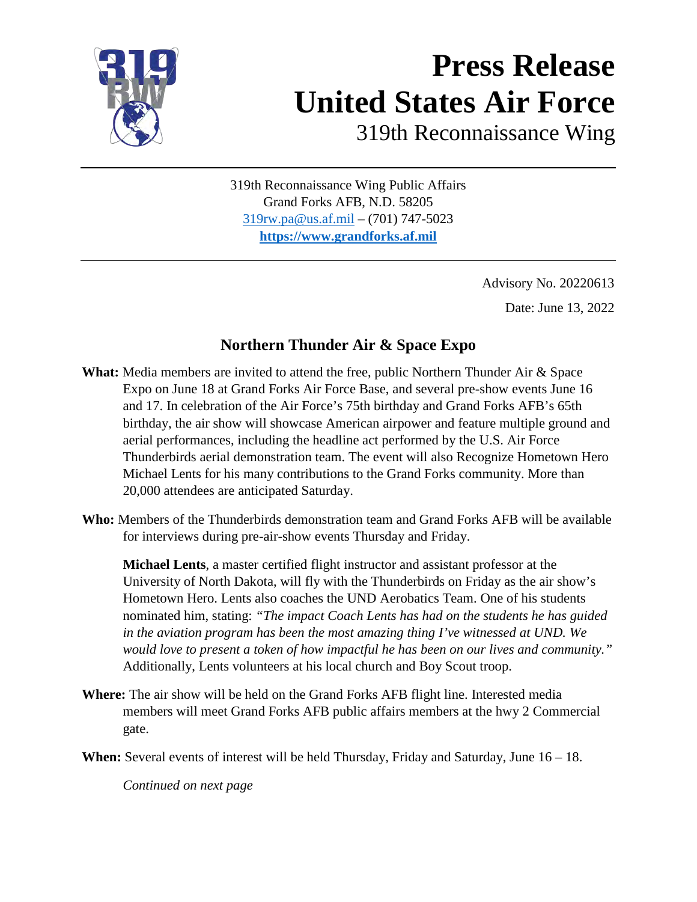

# **Press Release United States Air Force**

319th Reconnaissance Wing

319th Reconnaissance Wing Public Affairs Grand Forks AFB, N.D. 58205 [319rw.pa@us.af.mil](mailto:319rw.pa@us.af.mil) – (701) 747-5023 **[https://www.grandforks.af.mil](https://www.grandforks.af.mil/)**

> Advisory No. 20220613 Date: June 13, 2022

#### **Northern Thunder Air & Space Expo**

**What:** Media members are invited to attend the free, public Northern Thunder Air & Space Expo on June 18 at Grand Forks Air Force Base, and several pre-show events June 16 and 17. In celebration of the Air Force's 75th birthday and Grand Forks AFB's 65th birthday, the air show will showcase American airpower and feature multiple ground and aerial performances, including the headline act performed by the U.S. Air Force Thunderbirds aerial demonstration team. The event will also Recognize Hometown Hero Michael Lents for his many contributions to the Grand Forks community. More than 20,000 attendees are anticipated Saturday.

**Who:** Members of the Thunderbirds demonstration team and Grand Forks AFB will be available for interviews during pre-air-show events Thursday and Friday.

**Michael Lents**, a master certified flight instructor and assistant professor at the University of North Dakota, will fly with the Thunderbirds on Friday as the air show's Hometown Hero. Lents also coaches the UND Aerobatics Team. One of his students nominated him, stating: *"The impact Coach Lents has had on the students he has guided in the aviation program has been the most amazing thing I've witnessed at UND. We would love to present a token of how impactful he has been on our lives and community."* Additionally, Lents volunteers at his local church and Boy Scout troop.

**Where:** The air show will be held on the Grand Forks AFB flight line. Interested media members will meet Grand Forks AFB public affairs members at the hwy 2 Commercial gate.

**When:** Several events of interest will be held Thursday, Friday and Saturday, June 16 – 18.

*Continued on next page*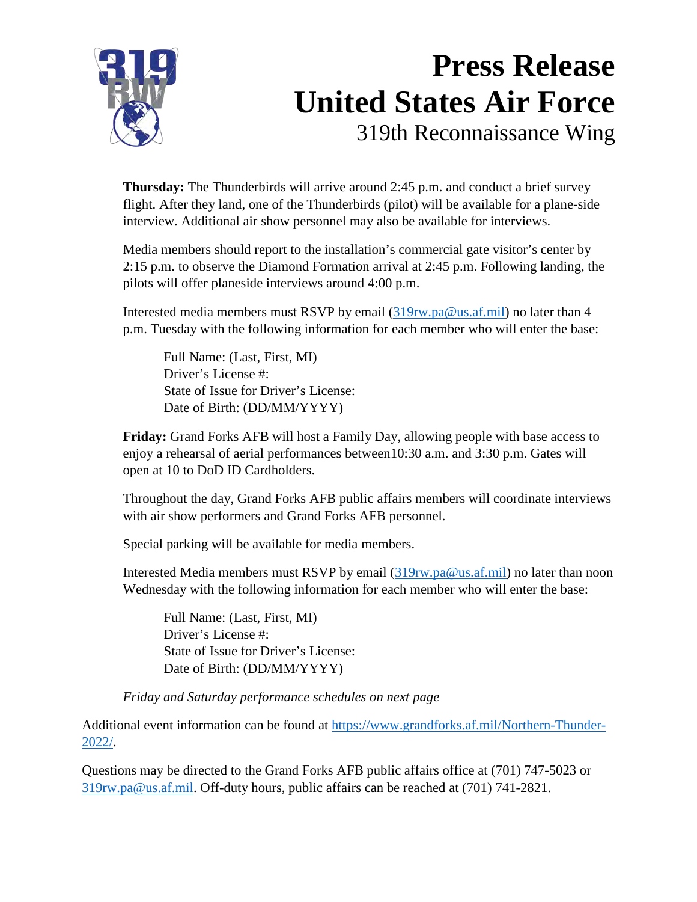

#### **Press Release United States Air Force** 319th Reconnaissance Wing

**Thursday:** The Thunderbirds will arrive around 2:45 p.m. and conduct a brief survey flight. After they land, one of the Thunderbirds (pilot) will be available for a plane-side interview. Additional air show personnel may also be available for interviews.

Media members should report to the installation's commercial gate visitor's center by 2:15 p.m. to observe the Diamond Formation arrival at 2:45 p.m. Following landing, the pilots will offer planeside interviews around 4:00 p.m.

Interested media members must RSVP by email [\(319rw.pa@us.af.mil\)](mailto:319rw.pa@us.af.mil) no later than 4 p.m. Tuesday with the following information for each member who will enter the base:

Full Name: (Last, First, MI) Driver's License #: State of Issue for Driver's License: Date of Birth: (DD/MM/YYYY)

**Friday:** Grand Forks AFB will host a Family Day, allowing people with base access to enjoy a rehearsal of aerial performances between10:30 a.m. and 3:30 p.m. Gates will open at 10 to DoD ID Cardholders.

Throughout the day, Grand Forks AFB public affairs members will coordinate interviews with air show performers and Grand Forks AFB personnel.

Special parking will be available for media members.

Interested Media members must RSVP by email [\(319rw.pa@us.af.mil\)](mailto:319rw.pa@us.af.mil) no later than noon Wednesday with the following information for each member who will enter the base:

Full Name: (Last, First, MI) Driver's License #: State of Issue for Driver's License: Date of Birth: (DD/MM/YYYY)

*Friday and Saturday performance schedules on next page* 

Additional event information can be found at [https://www.grandforks.af.mil/Northern-Thunder-](https://www.grandforks.af.mil/Northern-Thunder-2022/)[2022/.](https://www.grandforks.af.mil/Northern-Thunder-2022/)

Questions may be directed to the Grand Forks AFB public affairs office at (701) 747-5023 or [319rw.pa@us.af.mil.](mailto:319rw.pa@us.af.mil) Off-duty hours, public affairs can be reached at (701) 741-2821.